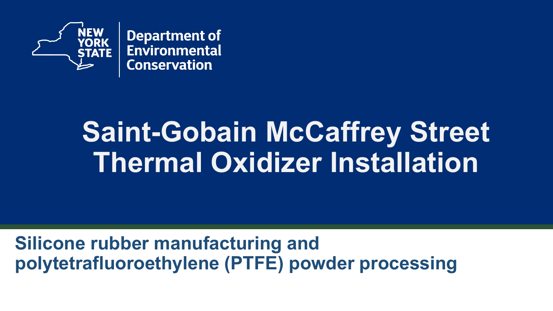

# **Saint-Gobain McCaffrey Street Thermal Oxidizer Installation**

**Silicone rubber manufacturing and polytetrafluoroethylene (PTFE) powder processing**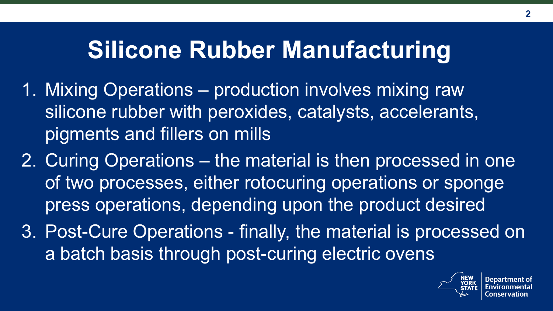### **Silicone Rubber Manufacturing**

- 1. Mixing Operations production involves mixing raw silicone rubber with peroxides, catalysts, accelerants, pigments and fillers on mills
- 2. Curing Operations the material is then processed in one of two processes, either rotocuring operations or sponge press operations, depending upon the product desired
- 3. Post-Cure Operations finally, the material is processed on a batch basis through post-curing electric ovens

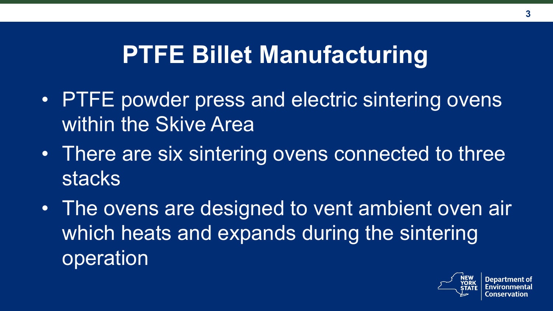#### **PTFE Billet Manufacturing**

- PTFE powder press and electric sintering ovens within the Skive Area
- There are six sintering ovens connected to three stacks
- The ovens are designed to vent ambient oven air which heats and expands during the sintering operation

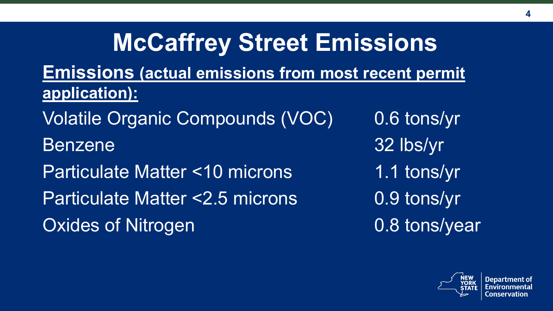#### **McCaffrey Street Emissions Emissions (actual emissions from most recent permit application):** Volatile Organic Compounds (VOC) 0.6 tons/yr Benzene 32 lbs/yr Particulate Matter <10 microns 1.1 tons/yr Particulate Matter <2.5 microns 0.9 tons/yr Oxides of Nitrogen and D.8 tons/year



**4**

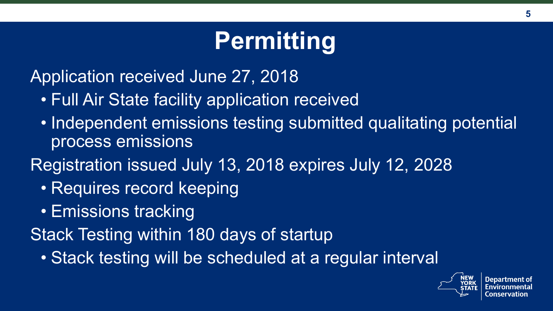# **Permitting**

Application received June 27, 2018

- Full Air State facility application received
- Independent emissions testing submitted qualitating potential process emissions
- Registration issued July 13, 2018 expires July 12, 2028
	- Requires record keeping
	- Emissions tracking

Stack Testing within 180 days of startup

• Stack testing will be scheduled at a regular interval

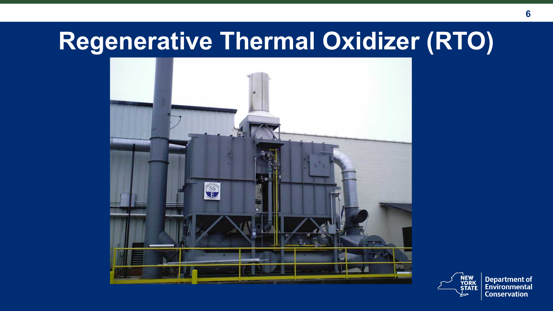#### **Regenerative Thermal Oxidizer (RTO)**





**Department of** Environmental **Conservation**